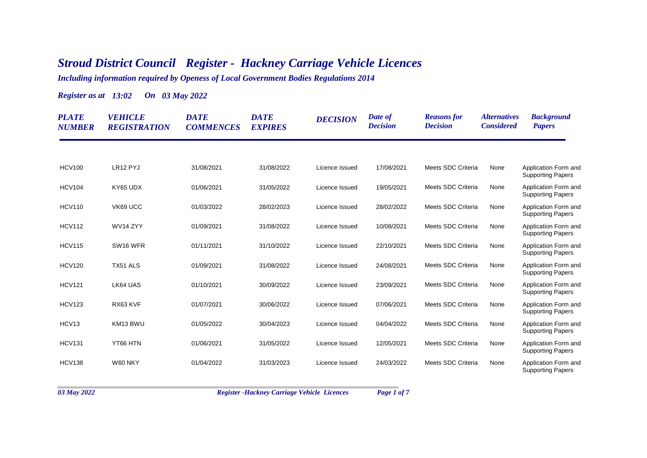## *Stroud District Council Register - Hackney Carriage Vehicle Licences*

*Including information required by Openess of Local Government Bodies Regulations 2014*

*Register as at 13:02 On 03 May 2022*

| <b>PLATE</b><br><b>NUMBER</b> | <b>VEHICLE</b><br><b>REGISTRATION</b> | <b>DATE</b><br><b>COMMENCES</b> | <b>DATE</b><br><b>EXPIRES</b> | <b>DECISION</b> | Date of<br><b>Decision</b> | <b>Reasons</b> for<br><b>Decision</b> | <i><b>Alternatives</b></i><br><b>Considered</b> | <b>Background</b><br><b>Papers</b>               |
|-------------------------------|---------------------------------------|---------------------------------|-------------------------------|-----------------|----------------------------|---------------------------------------|-------------------------------------------------|--------------------------------------------------|
|                               |                                       |                                 |                               |                 |                            |                                       |                                                 |                                                  |
| <b>HCV100</b>                 | LR12 PYJ                              | 31/08/2021                      | 31/08/2022                    | Licence Issued  | 17/08/2021                 | Meets SDC Criteria                    | None                                            | Application Form and<br><b>Supporting Papers</b> |
| <b>HCV104</b>                 | KY65 UDX                              | 01/06/2021                      | 31/05/2022                    | Licence Issued  | 19/05/2021                 | Meets SDC Criteria                    | None                                            | Application Form and<br><b>Supporting Papers</b> |
| <b>HCV110</b>                 | VK69 UCC                              | 01/03/2022                      | 28/02/2023                    | Licence Issued  | 28/02/2022                 | Meets SDC Criteria                    | None                                            | Application Form and<br><b>Supporting Papers</b> |
| <b>HCV112</b>                 | WV14 ZYY                              | 01/09/2021                      | 31/08/2022                    | Licence Issued  | 10/08/2021                 | Meets SDC Criteria                    | None                                            | Application Form and<br><b>Supporting Papers</b> |
| <b>HCV115</b>                 | SW <sub>16</sub> WFR                  | 01/11/2021                      | 31/10/2022                    | Licence Issued  | 22/10/2021                 | Meets SDC Criteria                    | None                                            | Application Form and<br><b>Supporting Papers</b> |
| <b>HCV120</b>                 | TX51 ALS                              | 01/09/2021                      | 31/08/2022                    | Licence Issued  | 24/08/2021                 | Meets SDC Criteria                    | None                                            | Application Form and<br><b>Supporting Papers</b> |
| <b>HCV121</b>                 | LK64 UAS                              | 01/10/2021                      | 30/09/2022                    | Licence Issued  | 23/09/2021                 | Meets SDC Criteria                    | None                                            | Application Form and<br><b>Supporting Papers</b> |
| <b>HCV123</b>                 | RX63 KVF                              | 01/07/2021                      | 30/06/2022                    | Licence Issued  | 07/06/2021                 | Meets SDC Criteria                    | None                                            | Application Form and<br><b>Supporting Papers</b> |
| HCV <sub>13</sub>             | KM13 BWU                              | 01/05/2022                      | 30/04/2023                    | Licence Issued  | 04/04/2022                 | Meets SDC Criteria                    | None                                            | Application Form and<br><b>Supporting Papers</b> |
| <b>HCV131</b>                 | YT66 HTN                              | 01/06/2021                      | 31/05/2022                    | Licence Issued  | 12/05/2021                 | Meets SDC Criteria                    | None                                            | Application Form and<br><b>Supporting Papers</b> |
| <b>HCV138</b>                 | W60 NKY                               | 01/04/2022                      | 31/03/2023                    | Licence Issued  | 24/03/2022                 | Meets SDC Criteria                    | None                                            | Application Form and<br><b>Supporting Papers</b> |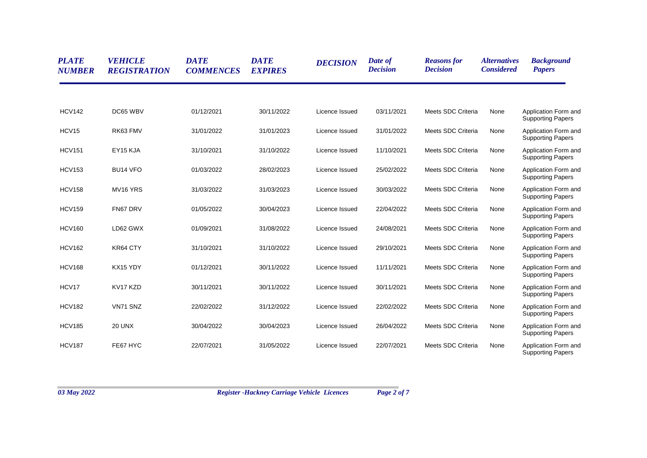| <b>PLATE</b><br><b>NUMBER</b> | <b>VEHICLE</b><br><b>REGISTRATION</b> | <b>DATE</b><br><b>COMMENCES</b> | <b>DATE</b><br><b>EXPIRES</b> | <b>DECISION</b> | Date of<br><b>Decision</b> | <b>Reasons for</b><br><b>Decision</b> | <b>Alternatives</b><br><b>Considered</b> | <b>Background</b><br><b>Papers</b>               |
|-------------------------------|---------------------------------------|---------------------------------|-------------------------------|-----------------|----------------------------|---------------------------------------|------------------------------------------|--------------------------------------------------|
|                               |                                       |                                 |                               |                 |                            |                                       |                                          |                                                  |
| <b>HCV142</b>                 | DC65 WBV                              | 01/12/2021                      | 30/11/2022                    | Licence Issued  | 03/11/2021                 | Meets SDC Criteria                    | None                                     | Application Form and<br><b>Supporting Papers</b> |
| HCV15                         | RK63 FMV                              | 31/01/2022                      | 31/01/2023                    | Licence Issued  | 31/01/2022                 | Meets SDC Criteria                    | None                                     | Application Form and<br><b>Supporting Papers</b> |
| <b>HCV151</b>                 | EY15 KJA                              | 31/10/2021                      | 31/10/2022                    | Licence Issued  | 11/10/2021                 | Meets SDC Criteria                    | None                                     | Application Form and<br><b>Supporting Papers</b> |
| <b>HCV153</b>                 | BU14 VFO                              | 01/03/2022                      | 28/02/2023                    | Licence Issued  | 25/02/2022                 | Meets SDC Criteria                    | None                                     | Application Form and<br><b>Supporting Papers</b> |
| <b>HCV158</b>                 | MV16 YRS                              | 31/03/2022                      | 31/03/2023                    | Licence Issued  | 30/03/2022                 | Meets SDC Criteria                    | None                                     | Application Form and<br><b>Supporting Papers</b> |
| <b>HCV159</b>                 | FN67 DRV                              | 01/05/2022                      | 30/04/2023                    | Licence Issued  | 22/04/2022                 | Meets SDC Criteria                    | None                                     | Application Form and<br><b>Supporting Papers</b> |
| <b>HCV160</b>                 | LD62 GWX                              | 01/09/2021                      | 31/08/2022                    | Licence Issued  | 24/08/2021                 | Meets SDC Criteria                    | None                                     | Application Form and<br><b>Supporting Papers</b> |
| <b>HCV162</b>                 | KR64 CTY                              | 31/10/2021                      | 31/10/2022                    | Licence Issued  | 29/10/2021                 | Meets SDC Criteria                    | None                                     | Application Form and<br><b>Supporting Papers</b> |
| <b>HCV168</b>                 | KX15 YDY                              | 01/12/2021                      | 30/11/2022                    | Licence Issued  | 11/11/2021                 | Meets SDC Criteria                    | None                                     | Application Form and<br><b>Supporting Papers</b> |
| HCV17                         | KV17 KZD                              | 30/11/2021                      | 30/11/2022                    | Licence Issued  | 30/11/2021                 | Meets SDC Criteria                    | None                                     | Application Form and<br><b>Supporting Papers</b> |
| <b>HCV182</b>                 | VN71 SNZ                              | 22/02/2022                      | 31/12/2022                    | Licence Issued  | 22/02/2022                 | Meets SDC Criteria                    | None                                     | Application Form and<br><b>Supporting Papers</b> |
| <b>HCV185</b>                 | <b>20 UNX</b>                         | 30/04/2022                      | 30/04/2023                    | Licence Issued  | 26/04/2022                 | Meets SDC Criteria                    | None                                     | Application Form and<br><b>Supporting Papers</b> |
| <b>HCV187</b>                 | FE67 HYC                              | 22/07/2021                      | 31/05/2022                    | Licence Issued  | 22/07/2021                 | Meets SDC Criteria                    | None                                     | Application Form and<br><b>Supporting Papers</b> |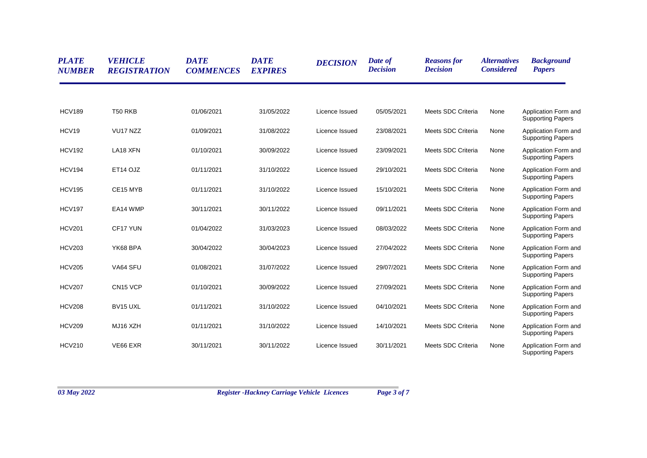| <b>PLATE</b><br><b>NUMBER</b> | <b>VEHICLE</b><br><b>REGISTRATION</b> | <b>DATE</b><br><b>COMMENCES</b> | <b>DATE</b><br><b>EXPIRES</b> | <b>DECISION</b> | Date of<br><b>Decision</b> | <b>Reasons for</b><br><b>Decision</b> | <i><b>Alternatives</b></i><br><b>Considered</b> | <b>Background</b><br><b>Papers</b>               |
|-------------------------------|---------------------------------------|---------------------------------|-------------------------------|-----------------|----------------------------|---------------------------------------|-------------------------------------------------|--------------------------------------------------|
|                               |                                       |                                 |                               |                 |                            |                                       |                                                 |                                                  |
| <b>HCV189</b>                 | <b>T50 RKB</b>                        | 01/06/2021                      | 31/05/2022                    | Licence Issued  | 05/05/2021                 | Meets SDC Criteria                    | None                                            | Application Form and<br><b>Supporting Papers</b> |
| HCV19                         | VU17 NZZ                              | 01/09/2021                      | 31/08/2022                    | Licence Issued  | 23/08/2021                 | Meets SDC Criteria                    | None                                            | Application Form and<br><b>Supporting Papers</b> |
| <b>HCV192</b>                 | LA18 XFN                              | 01/10/2021                      | 30/09/2022                    | Licence Issued  | 23/09/2021                 | Meets SDC Criteria                    | None                                            | Application Form and<br><b>Supporting Papers</b> |
| <b>HCV194</b>                 | ET14 OJZ                              | 01/11/2021                      | 31/10/2022                    | Licence Issued  | 29/10/2021                 | Meets SDC Criteria                    | None                                            | Application Form and<br><b>Supporting Papers</b> |
| <b>HCV195</b>                 | CE15 MYB                              | 01/11/2021                      | 31/10/2022                    | Licence Issued  | 15/10/2021                 | Meets SDC Criteria                    | None                                            | Application Form and<br><b>Supporting Papers</b> |
| <b>HCV197</b>                 | EA14 WMP                              | 30/11/2021                      | 30/11/2022                    | Licence Issued  | 09/11/2021                 | Meets SDC Criteria                    | None                                            | Application Form and<br><b>Supporting Papers</b> |
| <b>HCV201</b>                 | CF17 YUN                              | 01/04/2022                      | 31/03/2023                    | Licence Issued  | 08/03/2022                 | Meets SDC Criteria                    | None                                            | Application Form and<br><b>Supporting Papers</b> |
| <b>HCV203</b>                 | YK68 BPA                              | 30/04/2022                      | 30/04/2023                    | Licence Issued  | 27/04/2022                 | Meets SDC Criteria                    | None                                            | Application Form and<br><b>Supporting Papers</b> |
| <b>HCV205</b>                 | VA64 SFU                              | 01/08/2021                      | 31/07/2022                    | Licence Issued  | 29/07/2021                 | Meets SDC Criteria                    | None                                            | Application Form and<br><b>Supporting Papers</b> |
| <b>HCV207</b>                 | CN <sub>15</sub> VCP                  | 01/10/2021                      | 30/09/2022                    | Licence Issued  | 27/09/2021                 | Meets SDC Criteria                    | None                                            | Application Form and<br><b>Supporting Papers</b> |
| <b>HCV208</b>                 | BV15 UXL                              | 01/11/2021                      | 31/10/2022                    | Licence Issued  | 04/10/2021                 | Meets SDC Criteria                    | None                                            | Application Form and<br><b>Supporting Papers</b> |
| <b>HCV209</b>                 | MJ16 XZH                              | 01/11/2021                      | 31/10/2022                    | Licence Issued  | 14/10/2021                 | Meets SDC Criteria                    | None                                            | Application Form and<br><b>Supporting Papers</b> |
| <b>HCV210</b>                 | VE66 EXR                              | 30/11/2021                      | 30/11/2022                    | Licence Issued  | 30/11/2021                 | Meets SDC Criteria                    | None                                            | Application Form and<br><b>Supporting Papers</b> |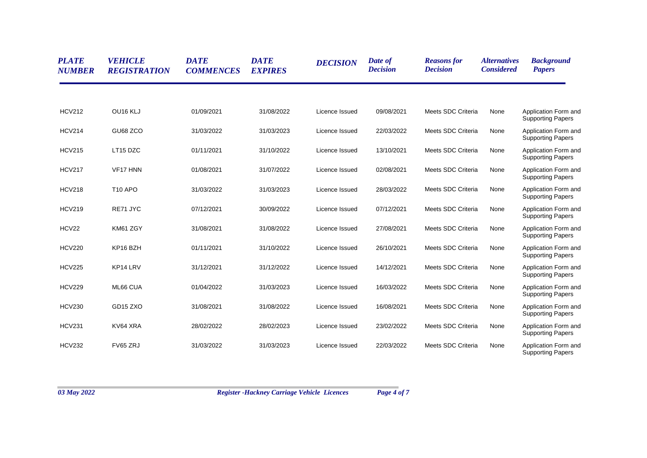| <b>PLATE</b><br><b>NUMBER</b> | <b>VEHICLE</b><br><b>REGISTRATION</b> | <b>DATE</b><br><b>COMMENCES</b> | <b>DATE</b><br><b>EXPIRES</b> | <b>DECISION</b> | Date of<br><b>Decision</b> | <b>Reasons for</b><br><b>Decision</b> | <i><b>Alternatives</b></i><br><b>Considered</b> | <b>Background</b><br><b>Papers</b>               |
|-------------------------------|---------------------------------------|---------------------------------|-------------------------------|-----------------|----------------------------|---------------------------------------|-------------------------------------------------|--------------------------------------------------|
|                               |                                       |                                 |                               |                 |                            |                                       |                                                 |                                                  |
| <b>HCV212</b>                 | OU16 KLJ                              | 01/09/2021                      | 31/08/2022                    | Licence Issued  | 09/08/2021                 | Meets SDC Criteria                    | None                                            | Application Form and<br><b>Supporting Papers</b> |
| <b>HCV214</b>                 | GU68 ZCO                              | 31/03/2022                      | 31/03/2023                    | Licence Issued  | 22/03/2022                 | Meets SDC Criteria                    | None                                            | Application Form and<br><b>Supporting Papers</b> |
| <b>HCV215</b>                 | LT15 DZC                              | 01/11/2021                      | 31/10/2022                    | Licence Issued  | 13/10/2021                 | Meets SDC Criteria                    | None                                            | Application Form and<br><b>Supporting Papers</b> |
| <b>HCV217</b>                 | VF17 HNN                              | 01/08/2021                      | 31/07/2022                    | Licence Issued  | 02/08/2021                 | Meets SDC Criteria                    | None                                            | Application Form and<br><b>Supporting Papers</b> |
| <b>HCV218</b>                 | <b>T10 APO</b>                        | 31/03/2022                      | 31/03/2023                    | Licence Issued  | 28/03/2022                 | Meets SDC Criteria                    | None                                            | Application Form and<br><b>Supporting Papers</b> |
| <b>HCV219</b>                 | RE71 JYC                              | 07/12/2021                      | 30/09/2022                    | Licence Issued  | 07/12/2021                 | Meets SDC Criteria                    | None                                            | Application Form and<br><b>Supporting Papers</b> |
| HCV22                         | KM61 ZGY                              | 31/08/2021                      | 31/08/2022                    | Licence Issued  | 27/08/2021                 | Meets SDC Criteria                    | None                                            | Application Form and<br><b>Supporting Papers</b> |
| <b>HCV220</b>                 | KP16 BZH                              | 01/11/2021                      | 31/10/2022                    | Licence Issued  | 26/10/2021                 | Meets SDC Criteria                    | None                                            | Application Form and<br><b>Supporting Papers</b> |
| <b>HCV225</b>                 | KP14 LRV                              | 31/12/2021                      | 31/12/2022                    | Licence Issued  | 14/12/2021                 | Meets SDC Criteria                    | None                                            | Application Form and<br><b>Supporting Papers</b> |
| <b>HCV229</b>                 | ML66 CUA                              | 01/04/2022                      | 31/03/2023                    | Licence Issued  | 16/03/2022                 | Meets SDC Criteria                    | None                                            | Application Form and<br><b>Supporting Papers</b> |
| <b>HCV230</b>                 | GD <sub>15</sub> Z <sub>XO</sub>      | 31/08/2021                      | 31/08/2022                    | Licence Issued  | 16/08/2021                 | Meets SDC Criteria                    | None                                            | Application Form and<br><b>Supporting Papers</b> |
| <b>HCV231</b>                 | KV64 XRA                              | 28/02/2022                      | 28/02/2023                    | Licence Issued  | 23/02/2022                 | Meets SDC Criteria                    | None                                            | Application Form and<br><b>Supporting Papers</b> |
| <b>HCV232</b>                 | FV65 ZRJ                              | 31/03/2022                      | 31/03/2023                    | Licence Issued  | 22/03/2022                 | Meets SDC Criteria                    | None                                            | Application Form and<br><b>Supporting Papers</b> |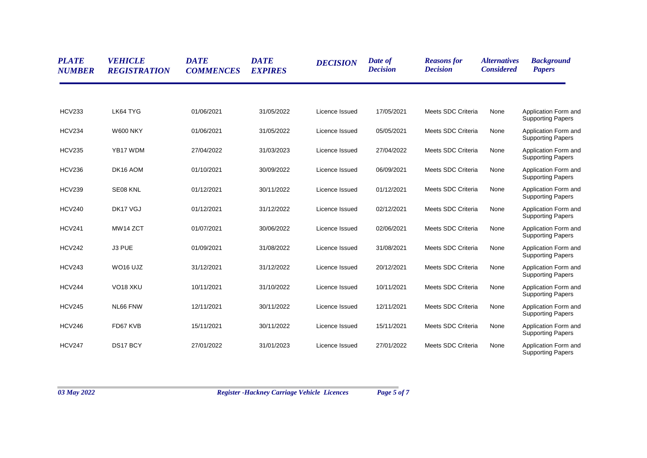| <b>PLATE</b><br><b>NUMBER</b> | <b>VEHICLE</b><br><b>REGISTRATION</b> | <b>DATE</b><br><b>COMMENCES</b> | <b>DATE</b><br><b>EXPIRES</b> | <b>DECISION</b> | Date of<br><b>Decision</b> | <b>Reasons for</b><br><b>Decision</b> | <i><b>Alternatives</b></i><br><b>Considered</b> | <b>Background</b><br><b>Papers</b>               |
|-------------------------------|---------------------------------------|---------------------------------|-------------------------------|-----------------|----------------------------|---------------------------------------|-------------------------------------------------|--------------------------------------------------|
|                               |                                       |                                 |                               |                 |                            |                                       |                                                 |                                                  |
| <b>HCV233</b>                 | LK64 TYG                              | 01/06/2021                      | 31/05/2022                    | Licence Issued  | 17/05/2021                 | Meets SDC Criteria                    | None                                            | Application Form and<br><b>Supporting Papers</b> |
| <b>HCV234</b>                 | <b>W600 NKY</b>                       | 01/06/2021                      | 31/05/2022                    | Licence Issued  | 05/05/2021                 | Meets SDC Criteria                    | None                                            | Application Form and<br><b>Supporting Papers</b> |
| <b>HCV235</b>                 | YB17 WDM                              | 27/04/2022                      | 31/03/2023                    | Licence Issued  | 27/04/2022                 | Meets SDC Criteria                    | None                                            | Application Form and<br><b>Supporting Papers</b> |
| <b>HCV236</b>                 | DK16 AOM                              | 01/10/2021                      | 30/09/2022                    | Licence Issued  | 06/09/2021                 | Meets SDC Criteria                    | None                                            | Application Form and<br><b>Supporting Papers</b> |
| <b>HCV239</b>                 | SE08 KNL                              | 01/12/2021                      | 30/11/2022                    | Licence Issued  | 01/12/2021                 | Meets SDC Criteria                    | None                                            | Application Form and<br><b>Supporting Papers</b> |
| <b>HCV240</b>                 | DK17 VGJ                              | 01/12/2021                      | 31/12/2022                    | Licence Issued  | 02/12/2021                 | Meets SDC Criteria                    | None                                            | Application Form and<br><b>Supporting Papers</b> |
| <b>HCV241</b>                 | MW14 ZCT                              | 01/07/2021                      | 30/06/2022                    | Licence Issued  | 02/06/2021                 | Meets SDC Criteria                    | None                                            | Application Form and<br><b>Supporting Papers</b> |
| <b>HCV242</b>                 | J3 PUE                                | 01/09/2021                      | 31/08/2022                    | Licence Issued  | 31/08/2021                 | Meets SDC Criteria                    | None                                            | Application Form and<br><b>Supporting Papers</b> |
| <b>HCV243</b>                 | WO <sub>16</sub> UJZ                  | 31/12/2021                      | 31/12/2022                    | Licence Issued  | 20/12/2021                 | Meets SDC Criteria                    | None                                            | Application Form and<br><b>Supporting Papers</b> |
| <b>HCV244</b>                 | VO <sub>18</sub> X <sub>KU</sub>      | 10/11/2021                      | 31/10/2022                    | Licence Issued  | 10/11/2021                 | Meets SDC Criteria                    | None                                            | Application Form and<br><b>Supporting Papers</b> |
| <b>HCV245</b>                 | NL66 FNW                              | 12/11/2021                      | 30/11/2022                    | Licence Issued  | 12/11/2021                 | Meets SDC Criteria                    | None                                            | Application Form and<br><b>Supporting Papers</b> |
| <b>HCV246</b>                 | FD67 KVB                              | 15/11/2021                      | 30/11/2022                    | Licence Issued  | 15/11/2021                 | Meets SDC Criteria                    | None                                            | Application Form and<br><b>Supporting Papers</b> |
| <b>HCV247</b>                 | DS17 BCY                              | 27/01/2022                      | 31/01/2023                    | Licence Issued  | 27/01/2022                 | Meets SDC Criteria                    | None                                            | Application Form and<br><b>Supporting Papers</b> |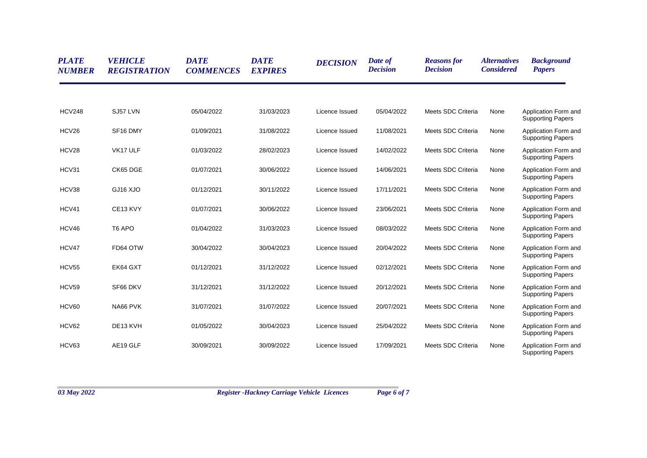| <b>PLATE</b><br><b>NUMBER</b> | <b>VEHICLE</b><br><b>REGISTRATION</b> | <b>DATE</b><br><b>COMMENCES</b> | <b>DATE</b><br><b>EXPIRES</b> | <b>DECISION</b> | Date of<br><b>Decision</b> | <b>Reasons for</b><br><b>Decision</b> | <i><b>Alternatives</b></i><br><b>Considered</b> | <b>Background</b><br><b>Papers</b>               |
|-------------------------------|---------------------------------------|---------------------------------|-------------------------------|-----------------|----------------------------|---------------------------------------|-------------------------------------------------|--------------------------------------------------|
|                               |                                       |                                 |                               |                 |                            |                                       |                                                 |                                                  |
| <b>HCV248</b>                 | SJ57 LVN                              | 05/04/2022                      | 31/03/2023                    | Licence Issued  | 05/04/2022                 | Meets SDC Criteria                    | None                                            | Application Form and<br><b>Supporting Papers</b> |
| HCV26                         | SF16 DMY                              | 01/09/2021                      | 31/08/2022                    | Licence Issued  | 11/08/2021                 | Meets SDC Criteria                    | None                                            | Application Form and<br><b>Supporting Papers</b> |
| HCV28                         | VK17 ULF                              | 01/03/2022                      | 28/02/2023                    | Licence Issued  | 14/02/2022                 | Meets SDC Criteria                    | None                                            | Application Form and<br><b>Supporting Papers</b> |
| HCV31                         | CK65 DGE                              | 01/07/2021                      | 30/06/2022                    | Licence Issued  | 14/06/2021                 | Meets SDC Criteria                    | None                                            | Application Form and<br><b>Supporting Papers</b> |
| HCV38                         | GJ16 XJO                              | 01/12/2021                      | 30/11/2022                    | Licence Issued  | 17/11/2021                 | Meets SDC Criteria                    | None                                            | Application Form and<br><b>Supporting Papers</b> |
| HCV41                         | CE13 KVY                              | 01/07/2021                      | 30/06/2022                    | Licence Issued  | 23/06/2021                 | Meets SDC Criteria                    | None                                            | Application Form and<br><b>Supporting Papers</b> |
| HCV46                         | T <sub>6</sub> APO                    | 01/04/2022                      | 31/03/2023                    | Licence Issued  | 08/03/2022                 | Meets SDC Criteria                    | None                                            | Application Form and<br><b>Supporting Papers</b> |
| HCV47                         | FD64 OTW                              | 30/04/2022                      | 30/04/2023                    | Licence Issued  | 20/04/2022                 | Meets SDC Criteria                    | None                                            | Application Form and<br><b>Supporting Papers</b> |
| HCV55                         | EK64 GXT                              | 01/12/2021                      | 31/12/2022                    | Licence Issued  | 02/12/2021                 | Meets SDC Criteria                    | None                                            | Application Form and<br><b>Supporting Papers</b> |
| HCV59                         | SF66 DKV                              | 31/12/2021                      | 31/12/2022                    | Licence Issued  | 20/12/2021                 | Meets SDC Criteria                    | None                                            | Application Form and<br><b>Supporting Papers</b> |
| HCV60                         | NA66 PVK                              | 31/07/2021                      | 31/07/2022                    | Licence Issued  | 20/07/2021                 | Meets SDC Criteria                    | None                                            | Application Form and<br><b>Supporting Papers</b> |
| HCV62                         | DE13 KVH                              | 01/05/2022                      | 30/04/2023                    | Licence Issued  | 25/04/2022                 | Meets SDC Criteria                    | None                                            | Application Form and<br><b>Supporting Papers</b> |
| HCV63                         | AE19 GLF                              | 30/09/2021                      | 30/09/2022                    | Licence Issued  | 17/09/2021                 | Meets SDC Criteria                    | None                                            | Application Form and<br><b>Supporting Papers</b> |